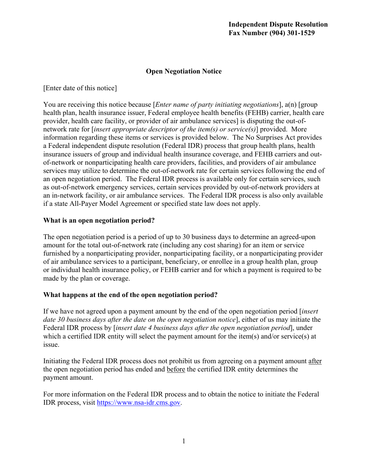## **Open Negotiation Notice**

[Enter date of this notice]

 You are receiving this notice because [*Enter name of party initiating negotiations*], a(n) [group provider, health care facility, or provider of air ambulance services] is disputing the out-of- network rate for [*insert appropriate descriptor of the item(s) or service(s)*] provided. More information regarding these items or services is provided below. The No Surprises Act provides insurance issuers of group and individual health insurance coverage, and FEHB carriers and out- services may utilize to determine the out-of-network rate for certain services following the end of an in-network facility, or air ambulance services. The Federal IDR process is also only available if a state All-Payer Model Agreement or specified state law does not apply. health plan, health insurance issuer, Federal employee health benefits (FEHB) carrier, health care a Federal independent dispute resolution (Federal IDR) process that group health plans, health of-network or nonparticipating health care providers, facilities, and providers of air ambulance an open negotiation period. The Federal IDR process is available only for certain services, such as out-of-network emergency services, certain services provided by out-of-network providers at

#### **What is an open negotiation period?**

 The open negotiation period is a period of up to 30 business days to determine an agreed-upon amount for the total out-of-network rate (including any cost sharing) for an item or service furnished by a nonparticipating provider, nonparticipating facility, or a nonparticipating provider of air ambulance services to a participant, beneficiary, or enrollee in a group health plan, group or individual health insurance policy, or FEHB carrier and for which a payment is required to be made by the plan or coverage.

### **What happens at the end of the open negotiation period?**

 *date 30 business days after the date on the open negotiation notice*], either of us may initiate the Federal IDR process by [*insert date 4 business days after the open negotiation period*], under If we have not agreed upon a payment amount by the end of the open negotiation period [*insert*  which a certified IDR entity will select the payment amount for the item(s) and/or service(s) at issue.

Initiating the Federal IDR process does not prohibit us from agreeing on a payment amount after the open negotiation period has ended and before the certified IDR entity determines the payment amount.

 For more information on the Federal IDR process and to obtain the notice to initiate the Federal IDR process, visit [https://www.nsa-idr.cms.gov.](https://www.nsa-idr.cms.gov/)